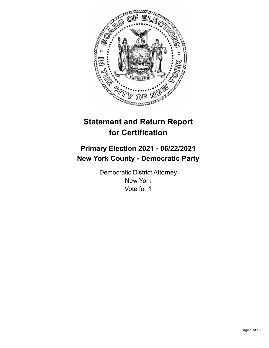

# **Statement and Return Report for Certification**

## **Primary Election 2021 - 06/22/2021 New York County - Democratic Party**

Democratic District Attorney New York Vote for 1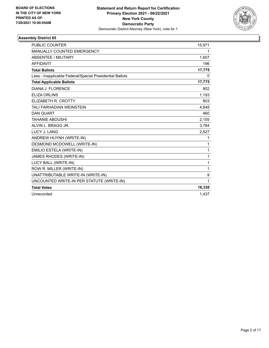

| <b>PUBLIC COUNTER</b>                                    | 15,971 |
|----------------------------------------------------------|--------|
| MANUALLY COUNTED EMERGENCY                               | 1      |
| <b>ABSENTEE / MILITARY</b>                               | 1,607  |
| <b>AFFIDAVIT</b>                                         | 196    |
| <b>Total Ballots</b>                                     | 17,775 |
| Less - Inapplicable Federal/Special Presidential Ballots | 0      |
| <b>Total Applicable Ballots</b>                          | 17,775 |
| DIANA J. FLORENCE                                        | 802    |
| <b>ELIZA ORLINS</b>                                      | 1,193  |
| ELIZABETH R. CROTTY                                      | 803    |
| <b>TALI FARHADIAN WEINSTEIN</b>                          | 4,648  |
| <b>DAN QUART</b>                                         | 460    |
| <b>TAHANIE ABOUSHI</b>                                   | 2,105  |
| ALVIN L. BRAGG JR.                                       | 3,784  |
| LUCY J. LANG                                             | 2,527  |
| ANDREW HUYNH (WRITE-IN)                                  | 1      |
| DESMOND MCDOWELL (WRITE-IN)                              | 1      |
| EMILIO ESTELA (WRITE-IN)                                 | 1      |
| JAMES RHODES (WRITE-IN)                                  | 1      |
| LUCY BALL (WRITE-IN)                                     | 1      |
| ROW R. MILLER (WRITE-IN)                                 | 1      |
| UNATTRIBUTABLE WRITE-IN (WRITE-IN)                       | 9      |
| UNCOUNTED WRITE-IN PER STATUTE (WRITE-IN)                | 1      |
| <b>Total Votes</b>                                       | 16,338 |
| Unrecorded                                               | 1,437  |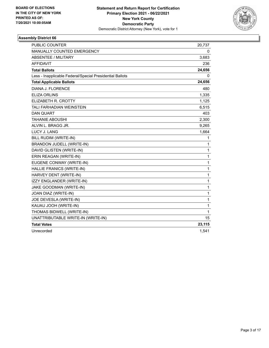

| <b>PUBLIC COUNTER</b>                                    | 20,737       |
|----------------------------------------------------------|--------------|
| MANUALLY COUNTED EMERGENCY                               | 0            |
| ABSENTEE / MILITARY                                      | 3,683        |
| <b>AFFIDAVIT</b>                                         | 236          |
| <b>Total Ballots</b>                                     | 24,656       |
| Less - Inapplicable Federal/Special Presidential Ballots | 0            |
| <b>Total Applicable Ballots</b>                          | 24,656       |
| DIANA J. FLORENCE                                        | 480          |
| <b>ELIZA ORLINS</b>                                      | 1,335        |
| ELIZABETH R. CROTTY                                      | 1,125        |
| TALI FARHADIAN WEINSTEIN                                 | 6,515        |
| <b>DAN QUART</b>                                         | 403          |
| <b>TAHANIE ABOUSHI</b>                                   | 2,300        |
| ALVIN L. BRAGG JR.                                       | 9,265        |
| LUCY J. LANG                                             | 1,664        |
| BILL RUDIM (WRITE-IN)                                    | 1            |
| BRANDON JUDELL (WRITE-IN)                                | 1            |
| DAVID GLISTEN (WRITE-IN)                                 | 1            |
| ERIN REAGAN (WRITE-IN)                                   | 1            |
| EUGENE CONWAY (WRITE-IN)                                 | 1            |
| HALLIE FRANICS (WRITE-IN)                                | $\mathbf{1}$ |
| HARVEY DENT (WRITE-IN)                                   | 1            |
| IZZY ENGLANDER (WRITE-IN)                                | 1            |
| JAKE GOODMAN (WRITE-IN)                                  | 1            |
| JOAN DIAZ (WRITE-IN)                                     | 1            |
| JOE DEVESLA (WRITE-IN)                                   | $\mathbf{1}$ |
| KAUAU JOOH (WRITE-IN)                                    | 1            |
| THOMAS BIDWELL (WRITE-IN)                                | 1            |
| UNATTRIBUTABLE WRITE-IN (WRITE-IN)                       | 15           |
| <b>Total Votes</b>                                       | 23,115       |
| Unrecorded                                               | 1,541        |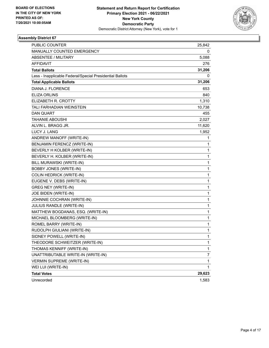

| PUBLIC COUNTER                                           | 25,842 |
|----------------------------------------------------------|--------|
| MANUALLY COUNTED EMERGENCY                               | 0      |
| <b>ABSENTEE / MILITARY</b>                               | 5,088  |
| <b>AFFIDAVIT</b>                                         | 276    |
| <b>Total Ballots</b>                                     | 31,206 |
| Less - Inapplicable Federal/Special Presidential Ballots | 0      |
| <b>Total Applicable Ballots</b>                          | 31,206 |
| DIANA J. FLORENCE                                        | 653    |
| <b>ELIZA ORLINS</b>                                      | 840    |
| ELIZABETH R. CROTTY                                      | 1,310  |
| <b>TALI FARHADIAN WEINSTEIN</b>                          | 10,738 |
| <b>DAN QUART</b>                                         | 455    |
| <b>TAHANIE ABOUSHI</b>                                   | 2,027  |
| ALVIN L. BRAGG JR.                                       | 11,620 |
| LUCY J. LANG                                             | 1,952  |
| ANDREW MANOFF (WRITE-IN)                                 | 1      |
| BENJAMIN FERENCZ (WRITE-IN)                              | 1      |
| BEVERLY H KOLBER (WRITE-IN)                              | 1      |
| BEVERLY H. KOLBER (WRITE-IN)                             | 1      |
| BILL MURAWSKI (WRITE-IN)                                 | 1      |
| <b>BOBBY JONES (WRITE-IN)</b>                            | 1      |
| COLIN HEDRICK (WRITE-IN)                                 | 1      |
| EUGENE V. DEBS (WRITE-IN)                                | 1      |
| <b>GREG NEY (WRITE-IN)</b>                               | 1      |
| JOE BIDEN (WRITE-IN)                                     | 1      |
| JOHNNIE COCHRAN (WRITE-IN)                               | 1      |
| JULIUS RANDLE (WRITE-IN)                                 | 1      |
| MATTHEW BOGDANAS, ESQ. (WRITE-IN)                        | 1      |
| MICHAEL BLOOMBERG (WRITE-IN)                             | 1      |
| ROMEL BARRY (WRITE-IN)                                   | 1      |
| RUDOLPH GIULIANI (WRITE-IN)                              | 1      |
| SIDNEY POWELL (WRITE-IN)                                 | 1      |
| THEODORE SCHWEITZER (WRITE-IN)                           | 1      |
| THOMAS KENNIFF (WRITE-IN)                                | 1      |
| UNATTRIBUTABLE WRITE-IN (WRITE-IN)                       | 7      |
| <b>VERMIN SUPREME (WRITE-IN)</b>                         | 1      |
| WEI LUI (WRITE-IN)                                       | 1      |
| <b>Total Votes</b>                                       | 29,623 |
| Unrecorded                                               | 1,583  |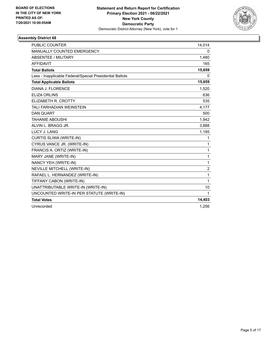

| <b>PUBLIC COUNTER</b>                                    | 14,014         |
|----------------------------------------------------------|----------------|
| MANUALLY COUNTED EMERGENCY                               | $\mathbf{0}$   |
| <b>ABSENTEE / MILITARY</b>                               | 1,480          |
| <b>AFFIDAVIT</b>                                         | 165            |
| <b>Total Ballots</b>                                     | 15,659         |
| Less - Inapplicable Federal/Special Presidential Ballots | 0              |
| <b>Total Applicable Ballots</b>                          | 15,659         |
| DIANA J. FLORENCE                                        | 1,520          |
| <b>ELIZA ORLINS</b>                                      | 636            |
| ELIZABETH R. CROTTY                                      | 535            |
| TALI FARHADIAN WEINSTEIN                                 | 4,177          |
| <b>DAN QUART</b>                                         | 500            |
| <b>TAHANIE ABOUSHI</b>                                   | 1,942          |
| ALVIN L. BRAGG JR.                                       | 3,888          |
| LUCY J. LANG                                             | 1,185          |
| CURTIS SLIWA (WRITE-IN)                                  | 1              |
| CYRUS VANCE JR. (WRITE-IN)                               | $\mathbf{1}$   |
| FRANCIS A. ORTIZ (WRITE-IN)                              | $\mathbf{1}$   |
| MARY JANE (WRITE-IN)                                     | $\mathbf{1}$   |
| NANCY YEH (WRITE-IN)                                     | $\mathbf{1}$   |
| NEVILLE MITCHELL (WRITE-IN)                              | $\overline{2}$ |
| RAFAEL L. HERNANDEZ (WRITE-IN)                           | 1              |
| TIFFANY CABON (WRITE-IN)                                 | $\mathbf{1}$   |
| UNATTRIBUTABLE WRITE-IN (WRITE-IN)                       | 10             |
| UNCOUNTED WRITE-IN PER STATUTE (WRITE-IN)                | $\mathbf{1}$   |
| <b>Total Votes</b>                                       | 14,403         |
| Unrecorded                                               | 1.256          |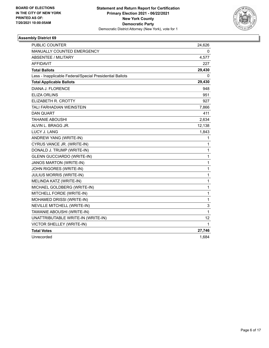

| <b>PUBLIC COUNTER</b>                                    | 24,626       |
|----------------------------------------------------------|--------------|
| MANUALLY COUNTED EMERGENCY                               | 0            |
| ABSENTEE / MILITARY                                      | 4,577        |
| <b>AFFIDAVIT</b>                                         | 227          |
| <b>Total Ballots</b>                                     | 29,430       |
| Less - Inapplicable Federal/Special Presidential Ballots | 0            |
| <b>Total Applicable Ballots</b>                          | 29,430       |
| <b>DIANA J. FLORENCE</b>                                 | 948          |
| <b>ELIZA ORLINS</b>                                      | 951          |
| ELIZABETH R. CROTTY                                      | 927          |
| TALI FARHADIAN WEINSTEIN                                 | 7,866        |
| <b>DAN QUART</b>                                         | 411          |
| <b>TAHANIE ABOUSHI</b>                                   | 2,634        |
| ALVIN L. BRAGG JR.                                       | 12,138       |
| <b>LUCY J. LANG</b>                                      | 1,843        |
| ANDREW YANG (WRITE-IN)                                   | 1            |
| CYRUS VANCE JR. (WRITE-IN)                               | 1            |
| DONALD J. TRUMP (WRITE-IN)                               | 1            |
| <b>GLENN GUCCIARDO (WRITE-IN)</b>                        | 1            |
| <b>JANOS MARTON (WRITE-IN)</b>                           | 1            |
| JOHN RIGORES (WRITE-IN)                                  | $\mathbf{1}$ |
| <b>JULIUS MORRIS (WRITE-IN)</b>                          | $\mathbf{1}$ |
| MELINDA KATZ (WRITE-IN)                                  | 1            |
| MICHAEL GOLDBERG (WRITE-IN)                              | $\mathbf{1}$ |
| MITCHELL FORDE (WRITE-IN)                                | 1            |
| MOHAMED DRISSI (WRITE-IN)                                | 1            |
| NEVILLE MITCHELL (WRITE-IN)                              | 3            |
| TAWANIE ABOUSHI (WRITE-IN)                               | $\mathbf{1}$ |
| UNATTRIBUTABLE WRITE-IN (WRITE-IN)                       | 12           |
| VICTOR SHELLEY (WRITE-IN)                                | 1            |
| <b>Total Votes</b>                                       | 27,746       |
| Unrecorded                                               | 1,684        |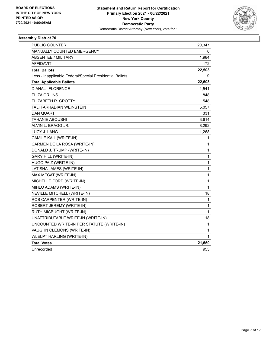

| <b>PUBLIC COUNTER</b>                                    | 20,347       |
|----------------------------------------------------------|--------------|
| MANUALLY COUNTED EMERGENCY                               | 0            |
| <b>ABSENTEE / MILITARY</b>                               | 1,984        |
| <b>AFFIDAVIT</b>                                         | 172          |
| <b>Total Ballots</b>                                     | 22,503       |
| Less - Inapplicable Federal/Special Presidential Ballots | 0            |
| <b>Total Applicable Ballots</b>                          | 22,503       |
| DIANA J. FLORENCE                                        | 1,541        |
| <b>ELIZA ORLINS</b>                                      | 848          |
| ELIZABETH R. CROTTY                                      | 548          |
| TALI FARHADIAN WEINSTEIN                                 | 5,057        |
| <b>DAN QUART</b>                                         | 331          |
| <b>TAHANIE ABOUSHI</b>                                   | 3,614        |
| ALVIN L. BRAGG JR.                                       | 8,292        |
| LUCY J. LANG                                             | 1,268        |
| CAMILE KAIL (WRITE-IN)                                   | 1            |
| CARMEN DE LA ROSA (WRITE-IN)                             | 1            |
| DONALD J. TRUMP (WRITE-IN)                               | $\mathbf{1}$ |
| <b>GARY HILL (WRITE-IN)</b>                              | 1            |
| HUGO PAIZ (WRITE-IN)                                     | 1            |
| LATISHA JAMES (WRITE-IN)                                 | $\mathbf{1}$ |
| MAX MECAT (WRITE-IN)                                     | $\mathbf{1}$ |
| MICHELLE FORD (WRITE-IN)                                 | $\mathbf{1}$ |
| MIHLO ADAMS (WRITE-IN)                                   | $\mathbf{1}$ |
| NEVILLE MITCHELL (WRITE-IN)                              | 18           |
| ROB CARPENTER (WRITE-IN)                                 | $\mathbf{1}$ |
| ROBERT JEREMY (WRITE-IN)                                 | $\mathbf{1}$ |
| RUTH MICBUGHT (WRITE-IN)                                 | 1            |
| UNATTRIBUTABLE WRITE-IN (WRITE-IN)                       | 18           |
| UNCOUNTED WRITE-IN PER STATUTE (WRITE-IN)                | 1            |
| VAUGHN CLEMONS (WRITE-IN)                                | $\mathbf{1}$ |
| <b>WLELPT HARLING (WRITE-IN)</b>                         | $\mathbf{1}$ |
| <b>Total Votes</b>                                       | 21,550       |
| Unrecorded                                               | 953          |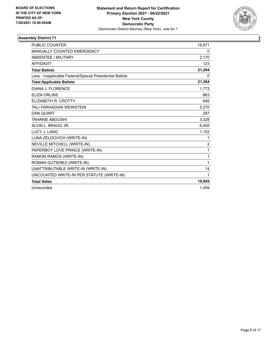

| <b>PUBLIC COUNTER</b>                                    | 18,971         |
|----------------------------------------------------------|----------------|
| <b>MANUALLY COUNTED EMERGENCY</b>                        | 0              |
| <b>ABSENTEE / MILITARY</b>                               | 2,170          |
| <b>AFFIDAVIT</b>                                         | 123            |
| <b>Total Ballots</b>                                     | 21,264         |
| Less - Inapplicable Federal/Special Presidential Ballots | 0              |
| <b>Total Applicable Ballots</b>                          | 21,264         |
| DIANA J. FLORENCE                                        | 1,773          |
| <b>ELIZA ORLINS</b>                                      | 863            |
| ELIZABETH R. CROTTY                                      | 646            |
| <b>TALI FARHADIAN WEINSTEIN</b>                          | 5,270          |
| <b>DAN QUART</b>                                         | 297            |
| <b>TAHANIE ABOUSHI</b>                                   | 3,328          |
| ALVIN L. BRAGG JR.                                       | 6,455          |
| LUCY J. LANG                                             | 1,152          |
| LUNA ZELDOVICH (WRITE-IN)                                | 1              |
| NEVILLE MITCHELL (WRITE-IN)                              | $\overline{c}$ |
| PAPERBOY LOVE PRINCE (WRITE-IN)                          | 1              |
| RAMON RAMOS (WRITE-IN)                                   | 1              |
| ROMAN GUTIEREZ (WRITE-IN)                                | 1              |
| UNATTRIBUTABLE WRITE-IN (WRITE-IN)                       | 14             |
| UNCOUNTED WRITE-IN PER STATUTE (WRITE-IN)                | 1              |
| <b>Total Votes</b>                                       | 19,805         |
| Unrecorded                                               | 1,459          |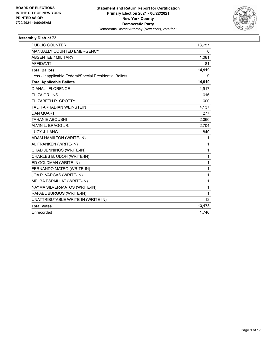

| <b>PUBLIC COUNTER</b>                                    | 13,757          |
|----------------------------------------------------------|-----------------|
| <b>MANUALLY COUNTED EMERGENCY</b>                        | 0               |
| <b>ABSENTEE / MILITARY</b>                               | 1,081           |
| <b>AFFIDAVIT</b>                                         | 81              |
| <b>Total Ballots</b>                                     | 14,919          |
| Less - Inapplicable Federal/Special Presidential Ballots | 0               |
| <b>Total Applicable Ballots</b>                          | 14,919          |
| DIANA J. FLORENCE                                        | 1,917           |
| <b>ELIZA ORLINS</b>                                      | 616             |
| ELIZABETH R. CROTTY                                      | 600             |
| <b>TALI FARHADIAN WEINSTEIN</b>                          | 4,137           |
| <b>DAN QUART</b>                                         | 277             |
| <b>TAHANIE ABOUSHI</b>                                   | 2,060           |
| ALVIN L. BRAGG JR.                                       | 2,704           |
| LUCY J. LANG                                             | 840             |
| ADAM HAMILTON (WRITE-IN)                                 | 1               |
| AL FRANKEN (WRITE-IN)                                    | 1               |
| CHAD JENNINGS (WRITE-IN)                                 | 1               |
| CHARLES B. UDOH (WRITE-IN)                               | 1               |
| ED GOLDMAN (WRITE-IN)                                    | 1               |
| FERNANDO MATEO (WRITE-IN)                                | 1               |
| JOA P. VARGAS (WRITE-IN)                                 | 1               |
| MELBA ESPAILLAT (WRITE-IN)                               | 1               |
| NAYMA SILVER-MATOS (WRITE-IN)                            | 1               |
| RAFAEL BURGOS (WRITE-IN)                                 | 1               |
| UNATTRIBUTABLE WRITE-IN (WRITE-IN)                       | 12 <sup>2</sup> |
| <b>Total Votes</b>                                       | 13,173          |
| Unrecorded                                               | 1,746           |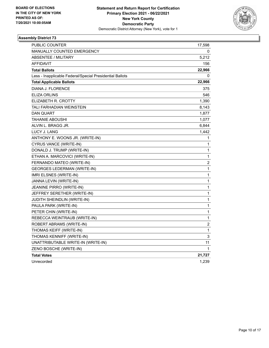

| PUBLIC COUNTER                                           | 17,598         |
|----------------------------------------------------------|----------------|
| <b>MANUALLY COUNTED EMERGENCY</b>                        | 0              |
| <b>ABSENTEE / MILITARY</b>                               | 5,212          |
| <b>AFFIDAVIT</b>                                         | 156            |
| <b>Total Ballots</b>                                     | 22,966         |
| Less - Inapplicable Federal/Special Presidential Ballots | 0              |
| <b>Total Applicable Ballots</b>                          | 22,966         |
| DIANA J. FLORENCE                                        | 375            |
| <b>ELIZA ORLINS</b>                                      | 546            |
| ELIZABETH R. CROTTY                                      | 1,390          |
| TALI FARHADIAN WEINSTEIN                                 | 8,143          |
| <b>DAN QUART</b>                                         | 1,877          |
| <b>TAHANIE ABOUSHI</b>                                   | 1,077          |
| ALVIN L. BRAGG JR.                                       | 6,844          |
| LUCY J. LANG                                             | 1,442          |
| ANTHONY E. WOONS JR. (WRITE-IN)                          | 1              |
| CYRUS VANCE (WRITE-IN)                                   | 1              |
| DONALD J. TRUMP (WRITE-IN)                               | 1              |
| ETHAN A. MARCOVICI (WRITE-IN)                            | 1              |
| FERNANDO MATEO (WRITE-IN)                                | $\overline{c}$ |
| <b>GEORGES LEDERMAN (WRITE-IN)</b>                       | 1              |
| IMRI ELSNES (WRITE-IN)                                   | 1              |
| JANNA LEVIN (WRITE-IN)                                   | 1              |
| JEANINE PIRRO (WRITE-IN)                                 | 1              |
| JEFFREY SERETHER (WRITE-IN)                              | 1              |
| JUDITH SHEINDLIN (WRITE-IN)                              | 1              |
| PAULA PARK (WRITE-IN)                                    | $\mathbf 1$    |
| PETER CHIN (WRITE-IN)                                    | $\mathbf{1}$   |
| REBECCA WEINTRAUB (WRITE-IN)                             | 1              |
| ROBERT ABRAMS (WRITE-IN)                                 | 2              |
| THOMAS KEIFF (WRITE-IN)                                  | 1              |
| THOMAS KENNIFF (WRITE-IN)                                | 3              |
| UNATTRIBUTABLE WRITE-IN (WRITE-IN)                       | 11             |
| ZENO BOSCHE (WRITE-IN)                                   | 1              |
| <b>Total Votes</b>                                       | 21,727         |
| Unrecorded                                               | 1,239          |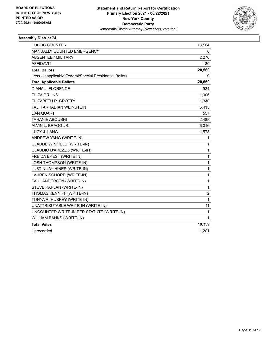

| <b>PUBLIC COUNTER</b>                                    | 18,104         |
|----------------------------------------------------------|----------------|
| MANUALLY COUNTED EMERGENCY                               | 0              |
| <b>ABSENTEE / MILITARY</b>                               | 2,276          |
| <b>AFFIDAVIT</b>                                         | 180            |
| <b>Total Ballots</b>                                     | 20,560         |
| Less - Inapplicable Federal/Special Presidential Ballots | 0              |
| <b>Total Applicable Ballots</b>                          | 20,560         |
| DIANA J. FLORENCE                                        | 934            |
| <b>ELIZA ORLINS</b>                                      | 1,006          |
| ELIZABETH R. CROTTY                                      | 1,340          |
| <b>TALI FARHADIAN WEINSTEIN</b>                          | 5,415          |
| <b>DAN QUART</b>                                         | 557            |
| <b>TAHANIE ABOUSHI</b>                                   | 2,488          |
| ALVIN L. BRAGG JR.                                       | 6,016          |
| <b>LUCY J. LANG</b>                                      | 1,578          |
| ANDREW YANG (WRITE-IN)                                   | 1              |
| CLAUDE WINFIELD (WRITE-IN)                               | 1              |
| CLAUDIO D'AREZZO (WRITE-IN)                              | 1              |
| FREIDA BREST (WRITE-IN)                                  | 1              |
| <b>JOSH THOMPSON (WRITE-IN)</b>                          | 1              |
| JUSTIN JAY HINES (WRITE-IN)                              | 1              |
| LAUREN SCHORR (WRITE-IN)                                 | 1              |
| PAUL ANDERSEN (WRITE-IN)                                 | $\mathbf{1}$   |
| STEVE KAPLAN (WRITE-IN)                                  | 1              |
| THOMAS KENNIFF (WRITE-IN)                                | $\overline{c}$ |
| TONYA R. HUSKEY (WRITE-IN)                               | 1              |
| UNATTRIBUTABLE WRITE-IN (WRITE-IN)                       | 11             |
| UNCOUNTED WRITE-IN PER STATUTE (WRITE-IN)                | $\mathbf{1}$   |
| WILLIAM BANKS (WRITE-IN)                                 | 1              |
| <b>Total Votes</b>                                       | 19,359         |
| Unrecorded                                               | 1,201          |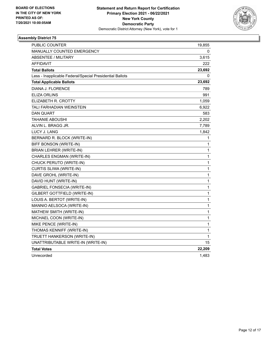

| <b>PUBLIC COUNTER</b>                                    | 19,855       |
|----------------------------------------------------------|--------------|
| MANUALLY COUNTED EMERGENCY                               | 0            |
| <b>ABSENTEE / MILITARY</b>                               | 3.615        |
| <b>AFFIDAVIT</b>                                         | 222          |
| <b>Total Ballots</b>                                     | 23,692       |
| Less - Inapplicable Federal/Special Presidential Ballots | 0            |
| <b>Total Applicable Ballots</b>                          | 23,692       |
| DIANA J. FLORENCE                                        | 789          |
| ELIZA ORLINS                                             | 991          |
| ELIZABETH R. CROTTY                                      | 1,059        |
| <b>TALI FARHADIAN WEINSTEIN</b>                          | 6,922        |
| <b>DAN QUART</b>                                         | 583          |
| <b>TAHANIE ABOUSHI</b>                                   | 2,202        |
| ALVIN L. BRAGG JR.                                       | 7,789        |
| LUCY J. LANG                                             | 1,842        |
| BERNARD R. BLOCK (WRITE-IN)                              | 1            |
| BIFF BONSON (WRITE-IN)                                   | 1            |
| <b>BRIAN LEHRER (WRITE-IN)</b>                           | 1            |
| CHARLES ENGMAN (WRITE-IN)                                | 1            |
| CHUCK PERUTO (WRITE-IN)                                  | 1            |
| CURTIS SLIWA (WRITE-IN)                                  | 1            |
| DAVE GROHL (WRITE-IN)                                    | $\mathbf{1}$ |
| DAVID HUNT (WRITE-IN)                                    | 1            |
| <b>GABRIEL FONSECIA (WRITE-IN)</b>                       | 1            |
| GILBERT GOTTFIELD (WRITE-IN)                             | 1            |
| LOUIS A. BERTOT (WRITE-IN)                               | 1            |
| MANNIO AELSOCA (WRITE-IN)                                | 1            |
| MATHEW SMITH (WRITE-IN)                                  | 1            |
| MICHAEL COON (WRITE-IN)                                  | $\mathbf{1}$ |
| MIKE PENCE (WRITE-IN)                                    | 1            |
| THOMAS KENNIFF (WRITE-IN)                                | 1            |
| TRUETT HANKERSON (WRITE-IN)                              | 1            |
| UNATTRIBUTABLE WRITE-IN (WRITE-IN)                       | 15           |
| <b>Total Votes</b>                                       | 22,209       |
| Unrecorded                                               | 1,483        |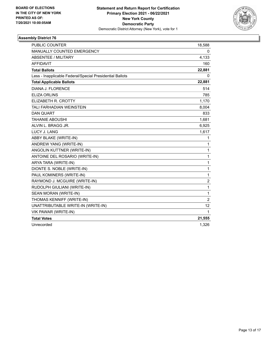

| <b>PUBLIC COUNTER</b>                                    | 18,588         |
|----------------------------------------------------------|----------------|
| MANUALLY COUNTED EMERGENCY                               | 0              |
| <b>ABSENTEE / MILITARY</b>                               | 4,133          |
| <b>AFFIDAVIT</b>                                         | 160            |
| <b>Total Ballots</b>                                     | 22,881         |
| Less - Inapplicable Federal/Special Presidential Ballots | 0              |
| <b>Total Applicable Ballots</b>                          | 22,881         |
| DIANA J. FLORENCE                                        | 514            |
| <b>ELIZA ORLINS</b>                                      | 785            |
| ELIZABETH R. CROTTY                                      | 1,170          |
| <b>TALI FARHADIAN WEINSTEIN</b>                          | 8,004          |
| <b>DAN QUART</b>                                         | 833            |
| <b>TAHANIE ABOUSHI</b>                                   | 1,681          |
| ALVIN L. BRAGG JR.                                       | 6,925          |
| LUCY J. LANG                                             | 1,617          |
| ABBY BLAKE (WRITE-IN)                                    | 1              |
| ANDREW YANG (WRITE-IN)                                   | 1              |
| ANGOLIN KUTTNER (WRITE-IN)                               | 1              |
| ANTOINE DEL ROSARIO (WRITE-IN)                           | 1              |
| ARYA TARA (WRITE-IN)                                     | 1              |
| DIONTE S. NOBLE (WRITE-IN)                               | 1              |
| PAUL KOMINERS (WRITE-IN)                                 | $\mathbf{1}$   |
| RAYMOND J. MCGUIRE (WRITE-IN)                            | $\overline{c}$ |
| RUDOLPH GIULIANI (WRITE-IN)                              | $\mathbf{1}$   |
| SEAN MORAN (WRITE-IN)                                    | 1              |
| THOMAS KENNIFF (WRITE-IN)                                | $\overline{c}$ |
| UNATTRIBUTABLE WRITE-IN (WRITE-IN)                       | 12             |
| VIK PAWAR (WRITE-IN)                                     | 1              |
| <b>Total Votes</b>                                       | 21,555         |
| Unrecorded                                               | 1,326          |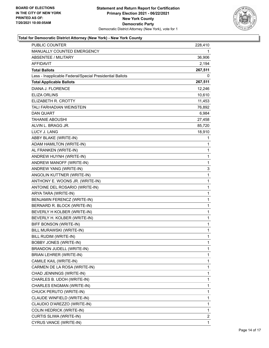

| PUBLIC COUNTER                                           | 228,410        |
|----------------------------------------------------------|----------------|
| MANUALLY COUNTED EMERGENCY                               | 1              |
| <b>ABSENTEE / MILITARY</b>                               | 36,906         |
| <b>AFFIDAVIT</b>                                         | 2,194          |
| <b>Total Ballots</b>                                     | 267,511        |
| Less - Inapplicable Federal/Special Presidential Ballots | 0              |
| <b>Total Applicable Ballots</b>                          | 267,511        |
| DIANA J. FLORENCE                                        | 12,246         |
| <b>ELIZA ORLINS</b>                                      | 10,610         |
| ELIZABETH R. CROTTY                                      | 11,453         |
| TALI FARHADIAN WEINSTEIN                                 | 76,892         |
| <b>DAN QUART</b>                                         | 6,984          |
| <b>TAHANIE ABOUSHI</b>                                   | 27,458         |
| ALVIN L. BRAGG JR.                                       | 85,720         |
| <b>LUCY J. LANG</b>                                      | 18,910         |
| ABBY BLAKE (WRITE-IN)                                    | 1              |
| ADAM HAMILTON (WRITE-IN)                                 | 1              |
| AL FRANKEN (WRITE-IN)                                    | 1              |
| ANDREW HUYNH (WRITE-IN)                                  | 1              |
| ANDREW MANOFF (WRITE-IN)                                 | 1              |
| ANDREW YANG (WRITE-IN)                                   | 3              |
| ANGOLIN KUTTNER (WRITE-IN)                               | 1              |
| ANTHONY E. WOONS JR. (WRITE-IN)                          | 1              |
| ANTOINE DEL ROSARIO (WRITE-IN)                           | 1              |
| ARYA TARA (WRITE-IN)                                     | 1              |
| BENJAMIN FERENCZ (WRITE-IN)                              | 1              |
| BERNARD R. BLOCK (WRITE-IN)                              | 1              |
| BEVERLY H KOLBER (WRITE-IN)                              | 1              |
| BEVERLY H. KOLBER (WRITE-IN)                             | 1              |
| BIFF BONSON (WRITE-IN)                                   | 1              |
| BILL MURAWSKI (WRITE-IN)                                 | 1              |
| BILL RUDIM (WRITE-IN)                                    | 1              |
| <b>BOBBY JONES (WRITE-IN)</b>                            | 1              |
| BRANDON JUDELL (WRITE-IN)                                | 1              |
| BRIAN LEHRER (WRITE-IN)                                  | 1              |
| CAMILE KAIL (WRITE-IN)                                   | 1              |
| CARMEN DE LA ROSA (WRITE-IN)                             | 1              |
| CHAD JENNINGS (WRITE-IN)                                 | 1              |
| CHARLES B. UDOH (WRITE-IN)                               | 1              |
| CHARLES ENGMAN (WRITE-IN)                                | 1              |
| CHUCK PERUTO (WRITE-IN)                                  | 1              |
| CLAUDE WINFIELD (WRITE-IN)                               | 1              |
| CLAUDIO D'AREZZO (WRITE-IN)                              | 1              |
| <b>COLIN HEDRICK (WRITE-IN)</b>                          | 1              |
| CURTIS SLIWA (WRITE-IN)                                  | $\overline{2}$ |
| CYRUS VANCE (WRITE-IN)                                   | 1              |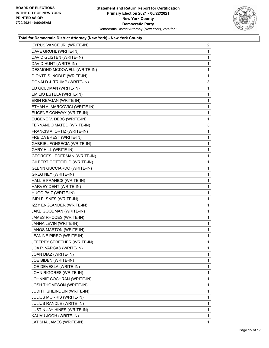

| CYRUS VANCE JR. (WRITE-IN)         | $\overline{2}$ |
|------------------------------------|----------------|
| DAVE GROHL (WRITE-IN)              | $\mathbf{1}$   |
| DAVID GLISTEN (WRITE-IN)           | 1              |
| DAVID HUNT (WRITE-IN)              | 1              |
| DESMOND MCDOWELL (WRITE-IN)        | $\mathbf{1}$   |
| DIONTE S. NOBLE (WRITE-IN)         | 1              |
| DONALD J. TRUMP (WRITE-IN)         | 3              |
| ED GOLDMAN (WRITE-IN)              | 1              |
| EMILIO ESTELA (WRITE-IN)           | 1              |
| ERIN REAGAN (WRITE-IN)             | 1              |
| ETHAN A. MARCOVICI (WRITE-IN)      | 1              |
| EUGENE CONWAY (WRITE-IN)           | 1              |
| EUGENE V. DEBS (WRITE-IN)          | 1              |
| FERNANDO MATEO (WRITE-IN)          | 3              |
| FRANCIS A. ORTIZ (WRITE-IN)        | 1              |
| FREIDA BREST (WRITE-IN)            | 1              |
| <b>GABRIEL FONSECIA (WRITE-IN)</b> | 1              |
| <b>GARY HILL (WRITE-IN)</b>        | $\mathbf{1}$   |
| <b>GEORGES LEDERMAN (WRITE-IN)</b> | 1              |
| GILBERT GOTTFIELD (WRITE-IN)       | 1              |
| <b>GLENN GUCCIARDO (WRITE-IN)</b>  | 1              |
| <b>GREG NEY (WRITE-IN)</b>         | 1              |
| HALLIE FRANICS (WRITE-IN)          | 1              |
| HARVEY DENT (WRITE-IN)             | $\mathbf{1}$   |
| HUGO PAIZ (WRITE-IN)               | 1              |
| IMRI ELSNES (WRITE-IN)             | 1              |
| IZZY ENGLANDER (WRITE-IN)          | 1              |
| JAKE GOODMAN (WRITE-IN)            | 1              |
| JAMES RHODES (WRITE-IN)            | 1              |
| JANNA LEVIN (WRITE-IN)             | $\mathbf{1}$   |
| JANOS MARTON (WRITE-IN)            | 1              |
| JEANINE PIRRO (WRITE-IN)           | 1              |
| JEFFREY SERETHER (WRITE-IN)        | 1              |
| JOA P. VARGAS (WRITE-IN)           | 1              |
| JOAN DIAZ (WRITE-IN)               | 1              |
| JOE BIDEN (WRITE-IN)               | 1              |
| JOE DEVESLA (WRITE-IN)             | 1              |
| JOHN RIGORES (WRITE-IN)            | 1              |
| JOHNNIE COCHRAN (WRITE-IN)         | 1              |
| <b>JOSH THOMPSON (WRITE-IN)</b>    | 1              |
| JUDITH SHEINDLIN (WRITE-IN)        | 1              |
| <b>JULIUS MORRIS (WRITE-IN)</b>    | 1              |
| JULIUS RANDLE (WRITE-IN)           | 1              |
| <b>JUSTIN JAY HINES (WRITE-IN)</b> | 1              |
| KAUAU JOOH (WRITE-IN)              | 1              |
| LATISHA JAMES (WRITE-IN)           | 1.             |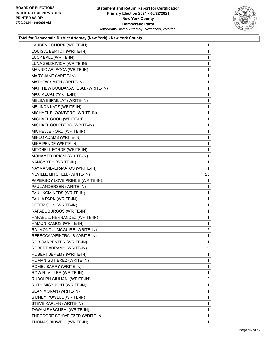

| LAUREN SCHORR (WRITE-IN)          | $\mathbf{1}$   |
|-----------------------------------|----------------|
| LOUIS A. BERTOT (WRITE-IN)        | 1              |
| LUCY BALL (WRITE-IN)              | 1              |
| LUNA ZELDOVICH (WRITE-IN)         | $\mathbf{1}$   |
| MANNIO AELSOCA (WRITE-IN)         | 1              |
| MARY JANE (WRITE-IN)              | 1              |
| MATHEW SMITH (WRITE-IN)           | $\mathbf{1}$   |
| MATTHEW BOGDANAS, ESQ. (WRITE-IN) | $\mathbf{1}$   |
| MAX MECAT (WRITE-IN)              | 1              |
| MELBA ESPAILLAT (WRITE-IN)        | $\mathbf{1}$   |
| MELINDA KATZ (WRITE-IN)           | 1              |
| MICHAEL BLOOMBERG (WRITE-IN)      | 1              |
| MICHAEL COON (WRITE-IN)           | $\mathbf{1}$   |
| MICHAEL GOLDBERG (WRITE-IN)       | 1              |
| MICHELLE FORD (WRITE-IN)          | 1              |
| MIHLO ADAMS (WRITE-IN)            | $\mathbf{1}$   |
| MIKE PENCE (WRITE-IN)             | 1              |
| MITCHELL FORDE (WRITE-IN)         | 1              |
| MOHAMED DRISSI (WRITE-IN)         | $\mathbf{1}$   |
| NANCY YEH (WRITE-IN)              | 1              |
| NAYMA SILVER-MATOS (WRITE-IN)     | 1              |
| NEVILLE MITCHELL (WRITE-IN)       | 25             |
| PAPERBOY LOVE PRINCE (WRITE-IN)   | 1              |
| PAUL ANDERSEN (WRITE-IN)          | 1              |
| PAUL KOMINERS (WRITE-IN)          | $\mathbf{1}$   |
| PAULA PARK (WRITE-IN)             | 1              |
| PETER CHIN (WRITE-IN)             | 1              |
| RAFAEL BURGOS (WRITE-IN)          | $\mathbf 1$    |
| RAFAEL L. HERNANDEZ (WRITE-IN)    | 1              |
| RAMON RAMOS (WRITE-IN)            | 1              |
| RAYMOND J. MCGUIRE (WRITE-IN)     | $\overline{2}$ |
| REBECCA WEINTRAUB (WRITE-IN)      | 1              |
| ROB CARPENTER (WRITE-IN)          | 1              |
| ROBERT ABRAMS (WRITE-IN)          | $\overline{2}$ |
| ROBERT JEREMY (WRITE-IN)          | 1              |
| ROMAN GUTIEREZ (WRITE-IN)         | 1              |
| ROMEL BARRY (WRITE-IN)            | 1              |
| ROW R. MILLER (WRITE-IN)          | 1              |
| RUDOLPH GIULIANI (WRITE-IN)       | 2              |
| RUTH MICBUGHT (WRITE-IN)          | 1              |
| SEAN MORAN (WRITE-IN)             | 1              |
| SIDNEY POWELL (WRITE-IN)          | 1              |
| STEVE KAPLAN (WRITE-IN)           | 1              |
| TAWANIE ABOUSHI (WRITE-IN)        | 1              |
| THEODORE SCHWEITZER (WRITE-IN)    | 1              |
| THOMAS BIDWELL (WRITE-IN)         | $\mathbf{1}$   |
|                                   |                |